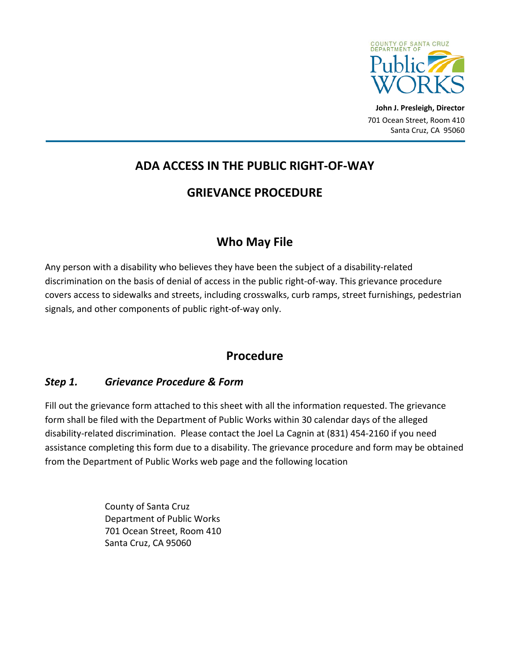

**John J. Presleigh, Director** 701 Ocean Street, Room 410 Santa Cruz, CA 95060

# **ADA ACCESS IN THE PUBLIC RIGHT‐OF‐WAY**

### **GRIEVANCE PROCEDURE**

# **Who May File**

Any person with a disability who believes they have been the subject of a disability-related discrimination on the basis of denial of access in the public right‐of‐way. This grievance procedure covers access to sidewalks and streets, including crosswalks, curb ramps, street furnishings, pedestrian signals, and other components of public right‐of‐way only.

### **Procedure**

### *Step 1. Grievance Procedure & Form*

Fill out the grievance form attached to this sheet with all the information requested. The grievance form shall be filed with the Department of Public Works within 30 calendar days of the alleged disability‐related discrimination. Please contact the Joel La Cagnin at (831) 454‐2160 if you need assistance completing this form due to a disability. The grievance procedure and form may be obtained from the Department of Public Works web page and the following location

> County of Santa Cruz Department of Public Works 701 Ocean Street, Room 410 Santa Cruz, CA 95060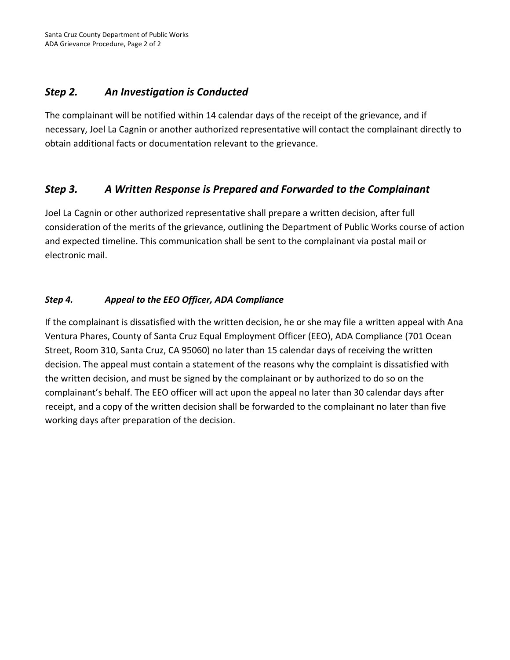#### *Step 2. An Investigation is Conducted*

The complainant will be notified within 14 calendar days of the receipt of the grievance, and if necessary, Joel La Cagnin or another authorized representative will contact the complainant directly to obtain additional facts or documentation relevant to the grievance.

### *Step 3. A Written Response is Prepared and Forwarded to the Complainant*

Joel La Cagnin or other authorized representative shall prepare a written decision, after full consideration of the merits of the grievance, outlining the Department of Public Works course of action and expected timeline. This communication shall be sent to the complainant via postal mail or electronic mail.

#### *Step 4. Appeal to the EEO Officer, ADA Compliance*

If the complainant is dissatisfied with the written decision, he or she may file a written appeal with Ana Ventura Phares, County of Santa Cruz Equal Employment Officer (EEO), ADA Compliance (701 Ocean Street, Room 310, Santa Cruz, CA 95060) no later than 15 calendar days of receiving the written decision. The appeal must contain a statement of the reasons why the complaint is dissatisfied with the written decision, and must be signed by the complainant or by authorized to do so on the complainant's behalf. The EEO officer will act upon the appeal no later than 30 calendar days after receipt, and a copy of the written decision shall be forwarded to the complainant no later than five working days after preparation of the decision.